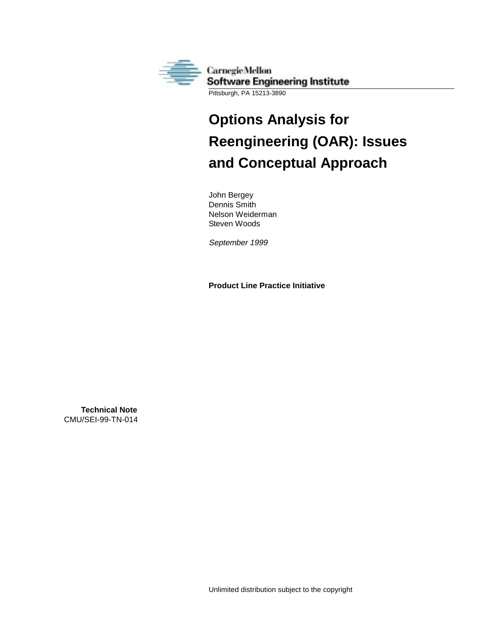

Pittsburgh, PA 15213-3890

# **Options Analysis for Reengineering (OAR): Issues and Conceptual Approach**

John Bergey Dennis Smith Nelson Weiderman Steven Woods

September 1999

**Product Line Practice Initiative**

**Technical Note** CMU/SEI-99-TN-014

Unlimited distribution subject to the copyright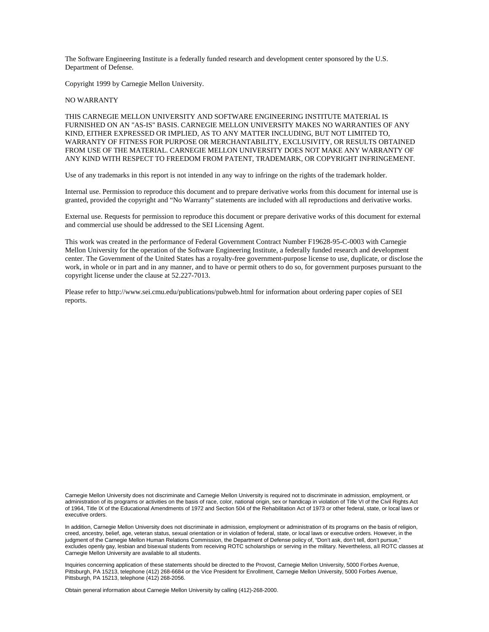The Software Engineering Institute is a federally funded research and development center sponsored by the U.S. Department of Defense.

Copyright 1999 by Carnegie Mellon University.

#### NO WARRANTY

THIS CARNEGIE MELLON UNIVERSITY AND SOFTWARE ENGINEERING INSTITUTE MATERIAL IS FURNISHED ON AN "AS-IS" BASIS. CARNEGIE MELLON UNIVERSITY MAKES NO WARRANTIES OF ANY KIND, EITHER EXPRESSED OR IMPLIED, AS TO ANY MATTER INCLUDING, BUT NOT LIMITED TO, WARRANTY OF FITNESS FOR PURPOSE OR MERCHANTABILITY, EXCLUSIVITY, OR RESULTS OBTAINED FROM USE OF THE MATERIAL. CARNEGIE MELLON UNIVERSITY DOES NOT MAKE ANY WARRANTY OF ANY KIND WITH RESPECT TO FREEDOM FROM PATENT, TRADEMARK, OR COPYRIGHT INFRINGEMENT.

Use of any trademarks in this report is not intended in any way to infringe on the rights of the trademark holder.

Internal use. Permission to reproduce this document and to prepare derivative works from this document for internal use is granted, provided the copyright and "No Warranty" statements are included with all reproductions and derivative works.

External use. Requests for permission to reproduce this document or prepare derivative works of this document for external and commercial use should be addressed to the SEI Licensing Agent.

This work was created in the performance of Federal Government Contract Number F19628-95-C-0003 with Carnegie Mellon University for the operation of the Software Engineering Institute, a federally funded research and development center. The Government of the United States has a royalty-free government-purpose license to use, duplicate, or disclose the work, in whole or in part and in any manner, and to have or permit others to do so, for government purposes pursuant to the copyright license under the clause at 52.227-7013.

Please refer to http://www.sei.cmu.edu/publications/pubweb.html for information about ordering paper copies of SEI reports.

Carnegie Mellon University does not discriminate and Carnegie Mellon University is required not to discriminate in admission, employment, or administration of its programs or activities on the basis of race, color, national origin, sex or handicap in violation of Title VI of the Civil Rights Act of 1964, Title IX of the Educational Amendments of 1972 and Section 504 of the Rehabilitation Act of 1973 or other federal, state, or local laws or executive orders.

In addition, Carnegie Mellon University does not discriminate in admission, employment or administration of its programs on the basis of religion, creed, ancestry, belief, age, veteran status, sexual orientation or in violation of federal, state, or local laws or executive orders. However, in the judgment of the Carnegie Mellon Human Relations Commission, the Department of Defense policy of, "Don't ask, don't tell, don't pursue, excludes openly gay, lesbian and bisexual students from receiving ROTC scholarships or serving in the military. Nevertheless, all ROTC classes at Carnegie Mellon University are available to all students.

Inquiries concerning application of these statements should be directed to the Provost, Carnegie Mellon University, 5000 Forbes Avenue, Pittsburgh, PA 15213, telephone (412) 268-6684 or the Vice President for Enrollment, Carnegie Mellon University, 5000 Forbes Avenue, Pittsburgh, PA 15213, telephone (412) 268-2056.

Obtain general information about Carnegie Mellon University by calling (412)-268-2000.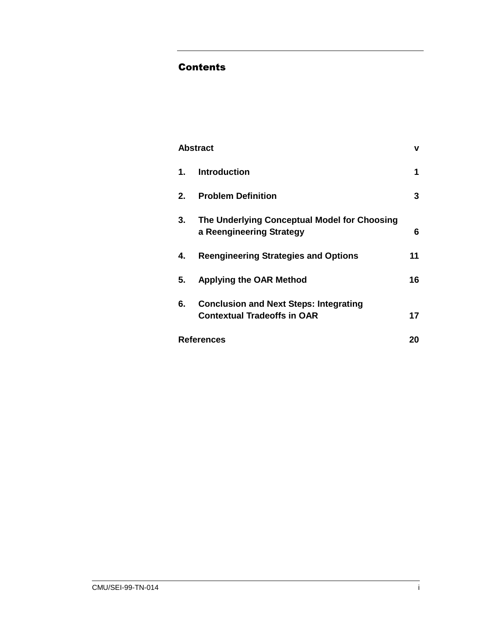## **Contents**

|                   | <b>Abstract</b>                                                                     | v  |
|-------------------|-------------------------------------------------------------------------------------|----|
| 1.                | <b>Introduction</b>                                                                 | 1  |
| 2.                | <b>Problem Definition</b>                                                           | 3  |
| 3.                | The Underlying Conceptual Model for Choosing<br>a Reengineering Strategy            | 6  |
| 4.                | <b>Reengineering Strategies and Options</b>                                         | 11 |
| 5.                | <b>Applying the OAR Method</b>                                                      | 16 |
| 6.                | <b>Conclusion and Next Steps: Integrating</b><br><b>Contextual Tradeoffs in OAR</b> | 17 |
| <b>References</b> |                                                                                     |    |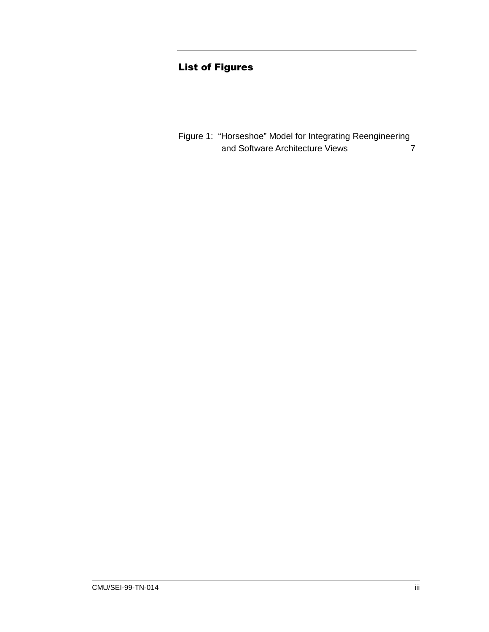## **List of Figures**

Figure 1: "Horseshoe" Model for Integrating Reengineering and Software Architecture Views  $\overline{7}$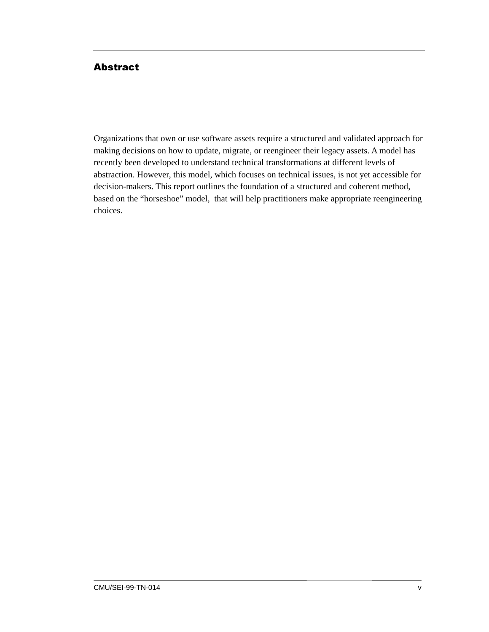#### <span id="page-6-0"></span>**Abstract**

Organizations that own or use software assets require a structured and validated approach for making decisions on how to update, migrate, or reengineer their legacy assets. A model has recently been developed to understand technical transformations at different levels of abstraction. However, this model, which focuses on technical issues, is not yet accessible for decision-makers. This report outlines the foundation of a structured and coherent method, based on the "horseshoe" model, that will help practitioners make appropriate reengineering choices.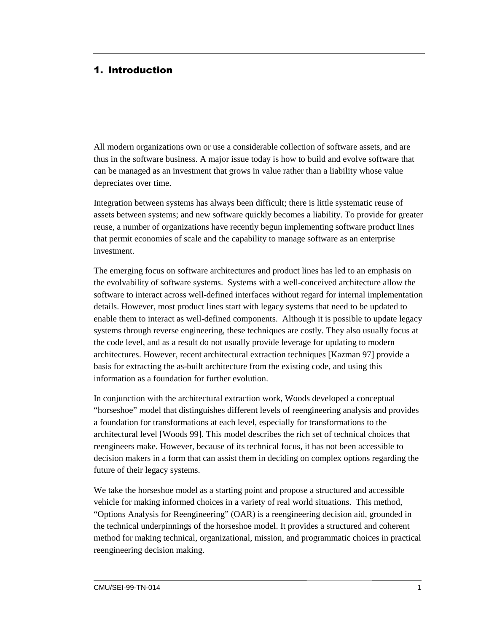#### <span id="page-8-0"></span>1. Introduction

All modern organizations own or use a considerable collection of software assets, and are thus in the software business. A major issue today is how to build and evolve software that can be managed as an investment that grows in value rather than a liability whose value depreciates over time.

Integration between systems has always been difficult; there is little systematic reuse of assets between systems; and new software quickly becomes a liability. To provide for greater reuse, a number of organizations have recently begun implementing software product lines that permit economies of scale and the capability to manage software as an enterprise investment.

The emerging focus on software architectures and product lines has led to an emphasis on the evolvability of software systems. Systems with a well-conceived architecture allow the software to interact across well-defined interfaces without regard for internal implementation details. However, most product lines start with legacy systems that need to be updated to enable them to interact as well-defined components. Although it is possible to update legacy systems through reverse engineering, these techniques are costly. They also usually focus at the code level, and as a result do not usually provide leverage for updating to modern architectures. However, recent architectural extraction techniques [Kazman 97] provide a basis for extracting the as-built architecture from the existing code, and using this information as a foundation for further evolution.

In conjunction with the architectural extraction work, Woods developed a conceptual "horseshoe" model that distinguishes different levels of reengineering analysis and provides a foundation for transformations at each level, especially for transformations to the architectural level [Woods 99]. This model describes the rich set of technical choices that reengineers make. However, because of its technical focus, it has not been accessible to decision makers in a form that can assist them in deciding on complex options regarding the future of their legacy systems.

We take the horseshoe model as a starting point and propose a structured and accessible vehicle for making informed choices in a variety of real world situations. This method, "Options Analysis for Reengineering" (OAR) is a reengineering decision aid, grounded in the technical underpinnings of the horseshoe model. It provides a structured and coherent method for making technical, organizational, mission, and programmatic choices in practical reengineering decision making.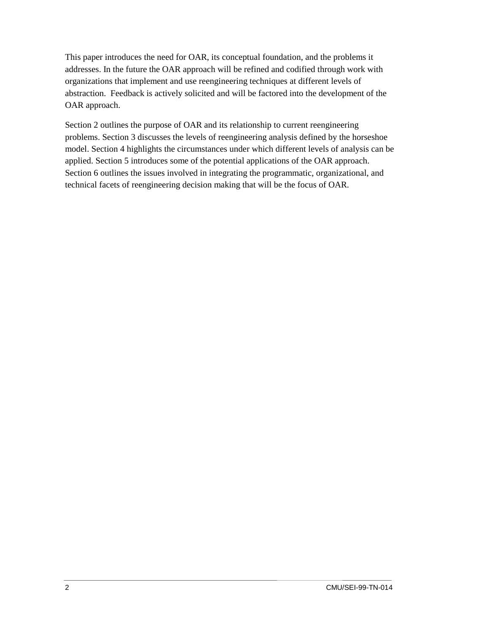This paper introduces the need for OAR, its conceptual foundation, and the problems it addresses. In the future the OAR approach will be refined and codified through work with organizations that implement and use reengineering techniques at different levels of abstraction. Feedback is actively solicited and will be factored into the development of the OAR approach.

Section 2 outlines the purpose of OAR and its relationship to current reengineering problems. Section 3 discusses the levels of reengineering analysis defined by the horseshoe model. Section 4 highlights the circumstances under which different levels of analysis can be applied. Section 5 introduces some of the potential applications of the OAR approach. Section 6 outlines the issues involved in integrating the programmatic, organizational, and technical facets of reengineering decision making that will be the focus of OAR.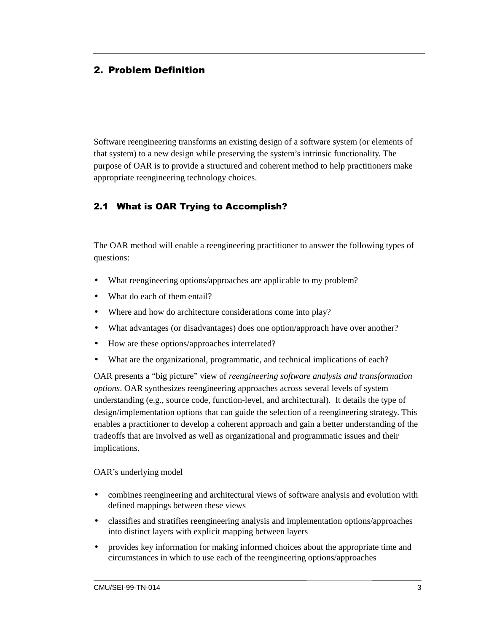#### <span id="page-10-0"></span>2. Problem Definition

Software reengineering transforms an existing design of a software system (or elements of that system) to a new design while preserving the system's intrinsic functionality. The purpose of OAR is to provide a structured and coherent method to help practitioners make appropriate reengineering technology choices.

#### 2.1 What is OAR Trying to Accomplish?

The OAR method will enable a reengineering practitioner to answer the following types of questions:

- What reengineering options/approaches are applicable to my problem?
- What do each of them entail?
- Where and how do architecture considerations come into play?
- What advantages (or disadvantages) does one option/approach have over another?
- How are these options/approaches interrelated?
- What are the organizational, programmatic, and technical implications of each?

OAR presents a "big picture" view of *reengineering software analysis and transformation options*. OAR synthesizes reengineering approaches across several levels of system understanding (e.g., source code, function-level, and architectural). It details the type of design/implementation options that can guide the selection of a reengineering strategy. This enables a practitioner to develop a coherent approach and gain a better understanding of the tradeoffs that are involved as well as organizational and programmatic issues and their implications.

#### OAR's underlying model

- combines reengineering and architectural views of software analysis and evolution with defined mappings between these views
- classifies and stratifies reengineering analysis and implementation options/approaches into distinct layers with explicit mapping between layers
- provides key information for making informed choices about the appropriate time and circumstances in which to use each of the reengineering options/approaches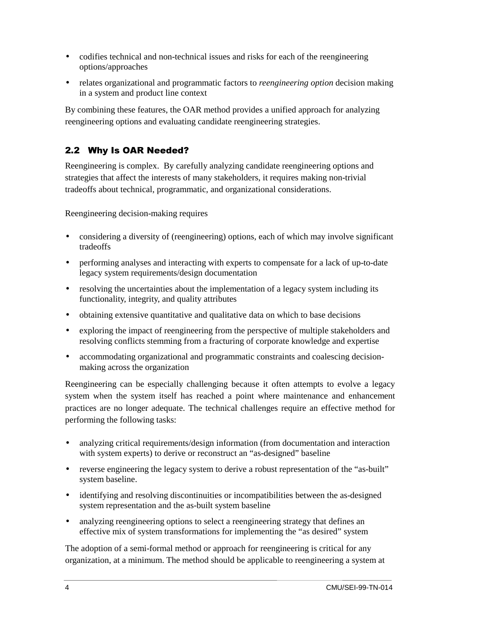- codifies technical and non-technical issues and risks for each of the reengineering options/approaches
- relates organizational and programmatic factors to *reengineering option* decision making in a system and product line context

By combining these features, the OAR method provides a unified approach for analyzing reengineering options and evaluating candidate reengineering strategies.

### 2.2 Why Is OAR Needed?

Reengineering is complex. By carefully analyzing candidate reengineering options and strategies that affect the interests of many stakeholders, it requires making non-trivial tradeoffs about technical, programmatic, and organizational considerations.

Reengineering decision-making requires

- considering a diversity of (reengineering) options, each of which may involve significant tradeoffs
- performing analyses and interacting with experts to compensate for a lack of up-to-date legacy system requirements/design documentation
- resolving the uncertainties about the implementation of a legacy system including its functionality, integrity, and quality attributes
- obtaining extensive quantitative and qualitative data on which to base decisions
- exploring the impact of reengineering from the perspective of multiple stakeholders and resolving conflicts stemming from a fracturing of corporate knowledge and expertise
- accommodating organizational and programmatic constraints and coalescing decisionmaking across the organization

Reengineering can be especially challenging because it often attempts to evolve a legacy system when the system itself has reached a point where maintenance and enhancement practices are no longer adequate. The technical challenges require an effective method for performing the following tasks:

- analyzing critical requirements/design information (from documentation and interaction with system experts) to derive or reconstruct an "as-designed" baseline
- reverse engineering the legacy system to derive a robust representation of the "as-built" system baseline.
- identifying and resolving discontinuities or incompatibilities between the as-designed system representation and the as-built system baseline
- analyzing reengineering options to select a reengineering strategy that defines an effective mix of system transformations for implementing the "as desired" system

The adoption of a semi-formal method or approach for reengineering is critical for any organization, at a minimum. The method should be applicable to reengineering a system at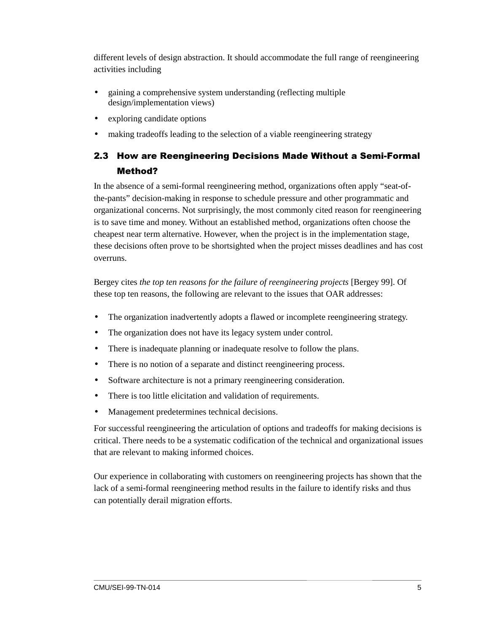different levels of design abstraction. It should accommodate the full range of reengineering activities including

- gaining a comprehensive system understanding (reflecting multiple design/implementation views)
- exploring candidate options
- making tradeoffs leading to the selection of a viable reengineering strategy

## 2.3 How are Reengineering Decisions Made Without a Semi-Formal Method?

In the absence of a semi-formal reengineering method, organizations often apply "seat-ofthe-pants" decision-making in response to schedule pressure and other programmatic and organizational concerns. Not surprisingly, the most commonly cited reason for reengineering is to save time and money. Without an established method, organizations often choose the cheapest near term alternative. However, when the project is in the implementation stage, these decisions often prove to be shortsighted when the project misses deadlines and has cost overruns.

Bergey cites *the top ten reasons for the failure of reengineering projects* [Bergey 99]. Of these top ten reasons, the following are relevant to the issues that OAR addresses:

- The organization inadvertently adopts a flawed or incomplete reengineering strategy.
- The organization does not have its legacy system under control.
- There is inadequate planning or inadequate resolve to follow the plans.
- There is no notion of a separate and distinct reengineering process.
- Software architecture is not a primary reengineering consideration.
- There is too little elicitation and validation of requirements.
- Management predetermines technical decisions.

For successful reengineering the articulation of options and tradeoffs for making decisions is critical. There needs to be a systematic codification of the technical and organizational issues that are relevant to making informed choices.

Our experience in collaborating with customers on reengineering projects has shown that the lack of a semi-formal reengineering method results in the failure to identify risks and thus can potentially derail migration efforts.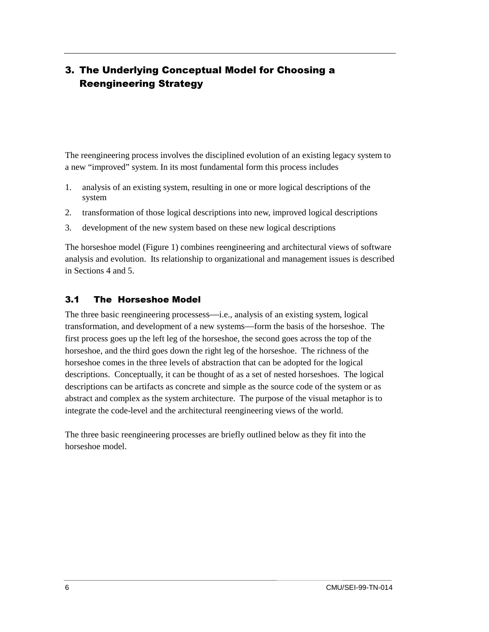## <span id="page-13-0"></span>3. The Underlying Conceptual Model for Choosing a **Reengineering Strategy**

The reengineering process involves the disciplined evolution of an existing legacy system to a new "improved" system. In its most fundamental form this process includes

- 1. analysis of an existing system, resulting in one or more logical descriptions of the system
- 2. transformation of those logical descriptions into new, improved logical descriptions
- 3. development of the new system based on these new logical descriptions

The horseshoe model (Figure 1) combines reengineering and architectural views of software analysis and evolution. Its relationship to organizational and management issues is described in Sections 4 and 5.

#### 3.1 The Horseshoe Model

The three basic reengineering processess—i.e., analysis of an existing system, logical transformation, and development of a new systems—form the basis of the horseshoe. The first process goes up the left leg of the horseshoe, the second goes across the top of the horseshoe, and the third goes down the right leg of the horseshoe. The richness of the horseshoe comes in the three levels of abstraction that can be adopted for the logical descriptions. Conceptually, it can be thought of as a set of nested horseshoes. The logical descriptions can be artifacts as concrete and simple as the source code of the system or as abstract and complex as the system architecture. The purpose of the visual metaphor is to integrate the code-level and the architectural reengineering views of the world.

The three basic reengineering processes are briefly outlined below as they fit into the horseshoe model.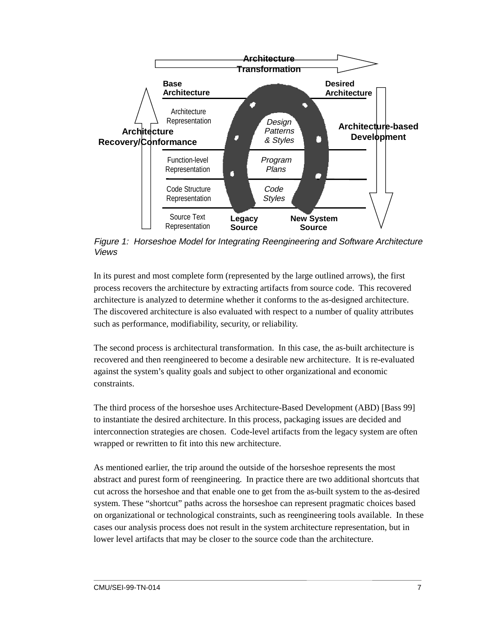<span id="page-14-0"></span>

Figure 1: Horseshoe Model for Integrating Reengineering and Software Architecture Views

In its purest and most complete form (represented by the large outlined arrows), the first process recovers the architecture by extracting artifacts from source code. This recovered architecture is analyzed to determine whether it conforms to the as-designed architecture. The discovered architecture is also evaluated with respect to a number of quality attributes such as performance, modifiability, security, or reliability.

The second process is architectural transformation. In this case, the as-built architecture is recovered and then reengineered to become a desirable new architecture. It is re-evaluated against the system's quality goals and subject to other organizational and economic constraints.

The third process of the horseshoe uses Architecture-Based Development (ABD) [Bass 99] to instantiate the desired architecture. In this process, packaging issues are decided and interconnection strategies are chosen. Code-level artifacts from the legacy system are often wrapped or rewritten to fit into this new architecture.

As mentioned earlier, the trip around the outside of the horseshoe represents the most abstract and purest form of reengineering. In practice there are two additional shortcuts that cut across the horseshoe and that enable one to get from the as-built system to the as-desired system. These "shortcut" paths across the horseshoe can represent pragmatic choices based on organizational or technological constraints, such as reengineering tools available. In these cases our analysis process does not result in the system architecture representation, but in lower level artifacts that may be closer to the source code than the architecture.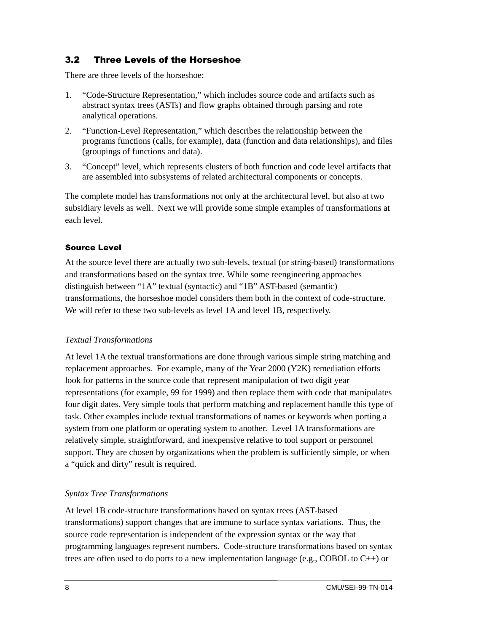#### 3.2 Three Levels of the Horseshoe

There are three levels of the horseshoe:

- 1. "Code-Structure Representation," which includes source code and artifacts such as abstract syntax trees (ASTs) and flow graphs obtained through parsing and rote analytical operations.
- 2. "Function-Level Representation," which describes the relationship between the programs functions (calls, for example), data (function and data relationships), and files (groupings of functions and data).
- 3. "Concept" level, which represents clusters of both function and code level artifacts that are assembled into subsystems of related architectural components or concepts.

The complete model has transformations not only at the architectural level, but also at two subsidiary levels as well. Next we will provide some simple examples of transformations at each level.

#### **Source Level**

At the source level there are actually two sub-levels, textual (or string-based) transformations and transformations based on the syntax tree. While some reengineering approaches distinguish between "1A" textual (syntactic) and "1B" AST-based (semantic) transformations, the horseshoe model considers them both in the context of code-structure. We will refer to these two sub-levels as level 1A and level 1B, respectively.

#### *Textual Transformations*

At level 1A the textual transformations are done through various simple string matching and replacement approaches. For example, many of the Year 2000 (Y2K) remediation efforts look for patterns in the source code that represent manipulation of two digit year representations (for example, 99 for 1999) and then replace them with code that manipulates four digit dates. Very simple tools that perform matching and replacement handle this type of task. Other examples include textual transformations of names or keywords when porting a system from one platform or operating system to another. Level 1A transformations are relatively simple, straightforward, and inexpensive relative to tool support or personnel support. They are chosen by organizations when the problem is sufficiently simple, or when a "quick and dirty" result is required.

#### *Syntax Tree Transformations*

At level 1B code-structure transformations based on syntax trees (AST-based transformations) support changes that are immune to surface syntax variations. Thus, the source code representation is independent of the expression syntax or the way that programming languages represent numbers. Code-structure transformations based on syntax trees are often used to do ports to a new implementation language (e.g., COBOL to  $C_{++}$ ) or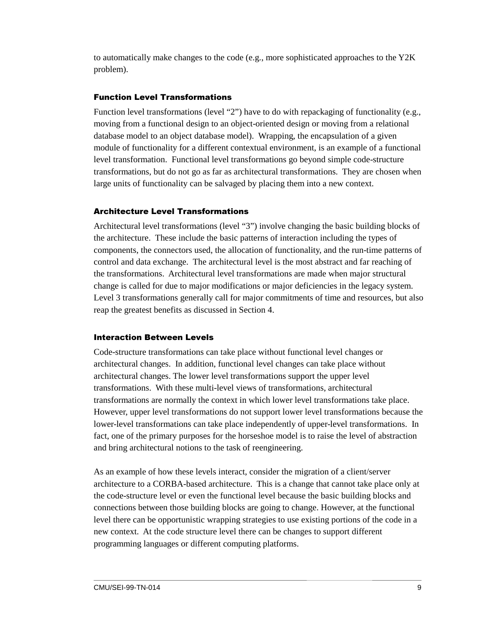to automatically make changes to the code (e.g., more sophisticated approaches to the  $Y2K$ problem).

#### **Function Level Transformations**

Function level transformations (level "2") have to do with repackaging of functionality (e.g., moving from a functional design to an object-oriented design or moving from a relational database model to an object database model). Wrapping, the encapsulation of a given module of functionality for a different contextual environment, is an example of a functional level transformation. Functional level transformations go beyond simple code-structure transformations, but do not go as far as architectural transformations. They are chosen when large units of functionality can be salvaged by placing them into a new context.

#### **Architecture Level Transformations**

Architectural level transformations (level "3") involve changing the basic building blocks of the architecture. These include the basic patterns of interaction including the types of components, the connectors used, the allocation of functionality, and the run-time patterns of control and data exchange. The architectural level is the most abstract and far reaching of the transformations. Architectural level transformations are made when major structural change is called for due to major modifications or major deficiencies in the legacy system. Level 3 transformations generally call for major commitments of time and resources, but also reap the greatest benefits as discussed in Section 4.

#### **Interaction Between Levels**

Code-structure transformations can take place without functional level changes or architectural changes. In addition, functional level changes can take place without architectural changes. The lower level transformations support the upper level transformations. With these multi-level views of transformations, architectural transformations are normally the context in which lower level transformations take place. However, upper level transformations do not support lower level transformations because the lower-level transformations can take place independently of upper-level transformations. In fact, one of the primary purposes for the horseshoe model is to raise the level of abstraction and bring architectural notions to the task of reengineering.

As an example of how these levels interact, consider the migration of a client/server architecture to a CORBA-based architecture. This is a change that cannot take place only at the code-structure level or even the functional level because the basic building blocks and connections between those building blocks are going to change. However, at the functional level there can be opportunistic wrapping strategies to use existing portions of the code in a new context. At the code structure level there can be changes to support different programming languages or different computing platforms.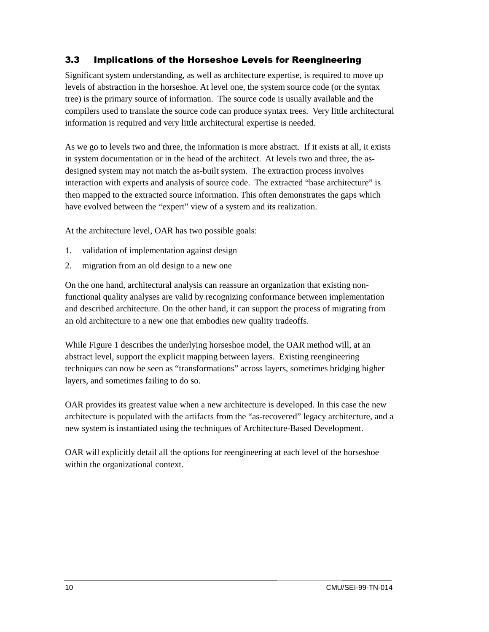#### 3.3 Implications of the Horseshoe Levels for Reengineering

Significant system understanding, as well as architecture expertise, is required to move up levels of abstraction in the horseshoe. At level one, the system source code (or the syntax tree) is the primary source of information. The source code is usually available and the compilers used to translate the source code can produce syntax trees. Very little architectural information is required and very little architectural expertise is needed.

As we go to levels two and three, the information is more abstract. If it exists at all, it exists in system documentation or in the head of the architect. At levels two and three, the asdesigned system may not match the as-built system. The extraction process involves interaction with experts and analysis of source code. The extracted "base architecture" is then mapped to the extracted source information. This often demonstrates the gaps which have evolved between the "expert" view of a system and its realization.

At the architecture level, OAR has two possible goals:

- 1. validation of implementation against design
- 2. migration from an old design to a new one

On the one hand, architectural analysis can reassure an organization that existing nonfunctional quality analyses are valid by recognizing conformance between implementation and described architecture. On the other hand, it can support the process of migrating from an old architecture to a new one that embodies new quality tradeoffs.

While Figure 1 describes the underlying horseshoe model, the OAR method will, at an abstract level, support the explicit mapping between layers. Existing reengineering techniques can now be seen as "transformations" across layers, sometimes bridging higher layers, and sometimes failing to do so.

OAR provides its greatest value when a new architecture is developed. In this case the new architecture is populated with the artifacts from the "as-recovered" legacy architecture, and a new system is instantiated using the techniques of Architecture-Based Development.

OAR will explicitly detail all the options for reengineering at each level of the horseshoe within the organizational context.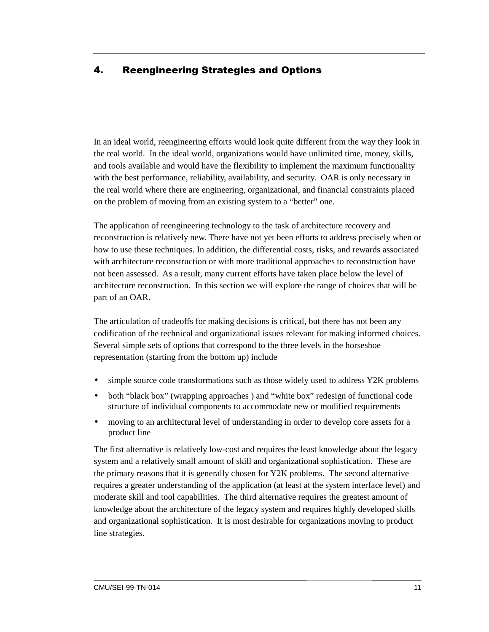### <span id="page-18-0"></span>4. Reengineering Strategies and Options

In an ideal world, reengineering efforts would look quite different from the way they look in the real world. In the ideal world, organizations would have unlimited time, money, skills, and tools available and would have the flexibility to implement the maximum functionality with the best performance, reliability, availability, and security. OAR is only necessary in the real world where there are engineering, organizational, and financial constraints placed on the problem of moving from an existing system to a "better" one.

The application of reengineering technology to the task of architecture recovery and reconstruction is relatively new. There have not yet been efforts to address precisely when or how to use these techniques. In addition, the differential costs, risks, and rewards associated with architecture reconstruction or with more traditional approaches to reconstruction have not been assessed. As a result, many current efforts have taken place below the level of architecture reconstruction. In this section we will explore the range of choices that will be part of an OAR.

The articulation of tradeoffs for making decisions is critical, but there has not been any codification of the technical and organizational issues relevant for making informed choices. Several simple sets of options that correspond to the three levels in the horseshoe representation (starting from the bottom up) include

- simple source code transformations such as those widely used to address Y2K problems
- both "black box" (wrapping approaches ) and "white box" redesign of functional code structure of individual components to accommodate new or modified requirements
- moving to an architectural level of understanding in order to develop core assets for a product line

The first alternative is relatively low-cost and requires the least knowledge about the legacy system and a relatively small amount of skill and organizational sophistication. These are the primary reasons that it is generally chosen for Y2K problems. The second alternative requires a greater understanding of the application (at least at the system interface level) and moderate skill and tool capabilities. The third alternative requires the greatest amount of knowledge about the architecture of the legacy system and requires highly developed skills and organizational sophistication. It is most desirable for organizations moving to product line strategies.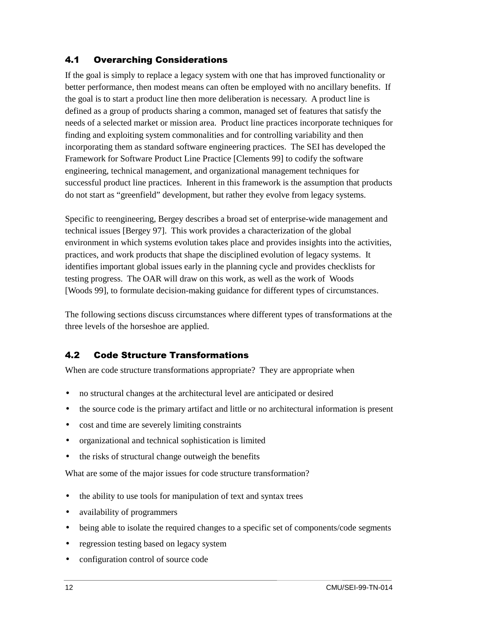#### 4.1 Overarching Considerations

If the goal is simply to replace a legacy system with one that has improved functionality or better performance, then modest means can often be employed with no ancillary benefits. If the goal is to start a product line then more deliberation is necessary. A product line is defined as a group of products sharing a common, managed set of features that satisfy the needs of a selected market or mission area. Product line practices incorporate techniques for finding and exploiting system commonalities and for controlling variability and then incorporating them as standard software engineering practices. The SEI has developed the Framework for Software Product Line Practice [Clements 99] to codify the software engineering, technical management, and organizational management techniques for successful product line practices. Inherent in this framework is the assumption that products do not start as "greenfield" development, but rather they evolve from legacy systems.

Specific to reengineering, Bergey describes a broad set of enterprise-wide management and technical issues [Bergey 97]. This work provides a characterization of the global environment in which systems evolution takes place and provides insights into the activities, practices, and work products that shape the disciplined evolution of legacy systems. It identifies important global issues early in the planning cycle and provides checklists for testing progress. The OAR will draw on this work, as well as the work of Woods [Woods 99], to formulate decision-making guidance for different types of circumstances.

The following sections discuss circumstances where different types of transformations at the three levels of the horseshoe are applied.

#### 4.2 Code Structure Transformations

When are code structure transformations appropriate? They are appropriate when

- no structural changes at the architectural level are anticipated or desired
- the source code is the primary artifact and little or no architectural information is present
- cost and time are severely limiting constraints
- organizational and technical sophistication is limited
- the risks of structural change outweigh the benefits

What are some of the major issues for code structure transformation?

- the ability to use tools for manipulation of text and syntax trees
- availability of programmers
- being able to isolate the required changes to a specific set of components/code segments
- regression testing based on legacy system
- configuration control of source code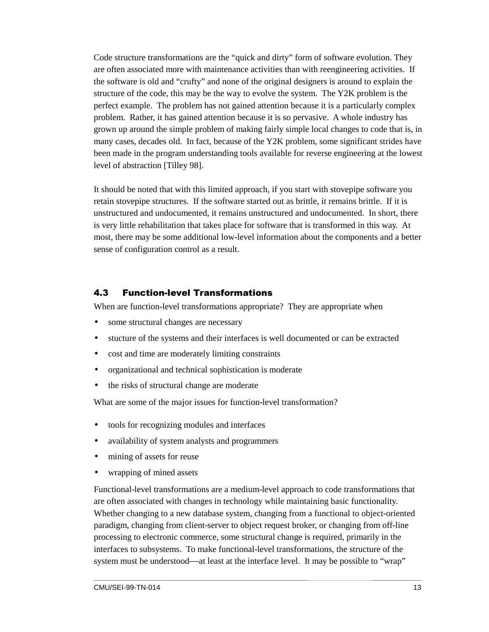Code structure transformations are the "quick and dirty" form of software evolution. They are often associated more with maintenance activities than with reengineering activities. If the software is old and "crufty" and none of the original designers is around to explain the structure of the code, this may be the way to evolve the system. The Y2K problem is the perfect example. The problem has not gained attention because it is a particularly complex problem. Rather, it has gained attention because it is so pervasive. A whole industry has grown up around the simple problem of making fairly simple local changes to code that is, in many cases, decades old. In fact, because of the Y2K problem, some significant strides have been made in the program understanding tools available for reverse engineering at the lowest level of abstraction [Tilley 98].

It should be noted that with this limited approach, if you start with stovepipe software you retain stovepipe structures. If the software started out as brittle, it remains brittle. If it is unstructured and undocumented, it remains unstructured and undocumented. In short, there is very little rehabilitation that takes place for software that is transformed in this way. At most, there may be some additional low-level information about the components and a better sense of configuration control as a result.

#### 4.3 Function-level Transformations

When are function-level transformations appropriate? They are appropriate when

- some structural changes are necessary
- stucture of the systems and their interfaces is well documented or can be extracted
- cost and time are moderately limiting constraints
- organizational and technical sophistication is moderate
- the risks of structural change are moderate

What are some of the major issues for function-level transformation?

- tools for recognizing modules and interfaces
- availability of system analysts and programmers
- mining of assets for reuse
- wrapping of mined assets

Functional-level transformations are a medium-level approach to code transformations that are often associated with changes in technology while maintaining basic functionality. Whether changing to a new database system, changing from a functional to object-oriented paradigm, changing from client-server to object request broker, or changing from off-line processing to electronic commerce, some structural change is required, primarily in the interfaces to subsystems. To make functional-level transformations, the structure of the system must be understood—at least at the interface level. It may be possible to "wrap"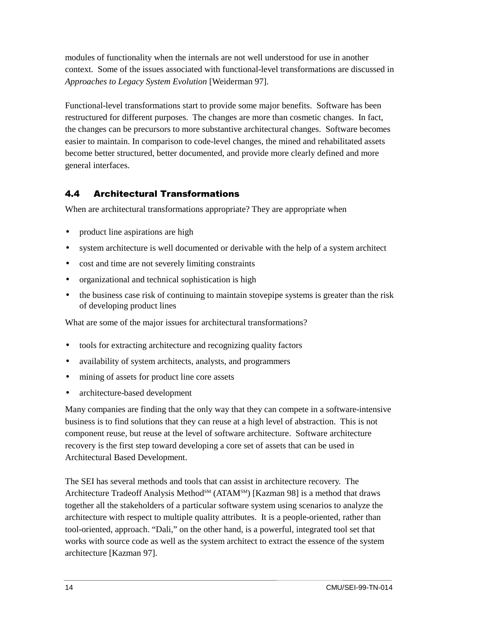modules of functionality when the internals are not well understood for use in another context. Some of the issues associated with functional-level transformations are discussed in *Approaches to Legacy System Evolution* [Weiderman 97].

Functional-level transformations start to provide some major benefits. Software has been restructured for different purposes. The changes are more than cosmetic changes. In fact, the changes can be precursors to more substantive architectural changes. Software becomes easier to maintain. In comparison to code-level changes, the mined and rehabilitated assets become better structured, better documented, and provide more clearly defined and more general interfaces.

#### **4.4 Architectural Transformations**

When are architectural transformations appropriate? They are appropriate when

- product line aspirations are high
- system architecture is well documented or derivable with the help of a system architect
- cost and time are not severely limiting constraints
- organizational and technical sophistication is high
- the business case risk of continuing to maintain stovepipe systems is greater than the risk of developing product lines

What are some of the major issues for architectural transformations?

- tools for extracting architecture and recognizing quality factors
- availability of system architects, analysts, and programmers
- mining of assets for product line core assets
- architecture-based development

Many companies are finding that the only way that they can compete in a software-intensive business is to find solutions that they can reuse at a high level of abstraction. This is not component reuse, but reuse at the level of software architecture. Software architecture recovery is the first step toward developing a core set of assets that can be used in Architectural Based Development.

The SEI has several methods and tools that can assist in architecture recovery. The Architecture Tradeoff Analysis Method<sup>SM</sup> (ATAM<sup>SM</sup>) [Kazman 98] is a method that draws together all the stakeholders of a particular software system using scenarios to analyze the architecture with respect to multiple quality attributes. It is a people-oriented, rather than tool-oriented, approach. "Dali," on the other hand, is a powerful, integrated tool set that works with source code as well as the system architect to extract the essence of the system architecture [Kazman 97].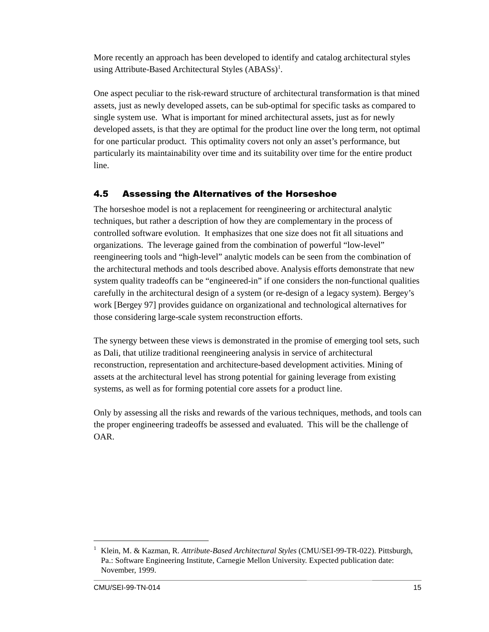More recently an approach has been developed to identify and catalog architectural styles using Attribute-Based Architectural Styles (ABASs)<sup>1</sup>.

One aspect peculiar to the risk-reward structure of architectural transformation is that mined assets, just as newly developed assets, can be sub-optimal for specific tasks as compared to single system use. What is important for mined architectural assets, just as for newly developed assets, is that they are optimal for the product line over the long term, not optimal for one particular product. This optimality covers not only an asset's performance, but particularly its maintainability over time and its suitability over time for the entire product line.

#### 4.5 Assessing the Alternatives of the Horseshoe

The horseshoe model is not a replacement for reengineering or architectural analytic techniques, but rather a description of how they are complementary in the process of controlled software evolution. It emphasizes that one size does not fit all situations and organizations. The leverage gained from the combination of powerful "low-level" reengineering tools and "high-level" analytic models can be seen from the combination of the architectural methods and tools described above. Analysis efforts demonstrate that new system quality tradeoffs can be "engineered-in" if one considers the non-functional qualities carefully in the architectural design of a system (or re-design of a legacy system). Bergey's work [Bergey 97] provides guidance on organizational and technological alternatives for those considering large-scale system reconstruction efforts.

The synergy between these views is demonstrated in the promise of emerging tool sets, such as Dali, that utilize traditional reengineering analysis in service of architectural reconstruction, representation and architecture-based development activities. Mining of assets at the architectural level has strong potential for gaining leverage from existing systems, as well as for forming potential core assets for a product line.

Only by assessing all the risks and rewards of the various techniques, methods, and tools can the proper engineering tradeoffs be assessed and evaluated. This will be the challenge of OAR.

 $\overline{1}$  Klein, M. & Kazman, R. *Attribute-Based Architectural Styles* (CMU/SEI-99-TR-022). Pittsburgh, Pa.: Software Engineering Institute, Carnegie Mellon University. Expected publication date: November, 1999.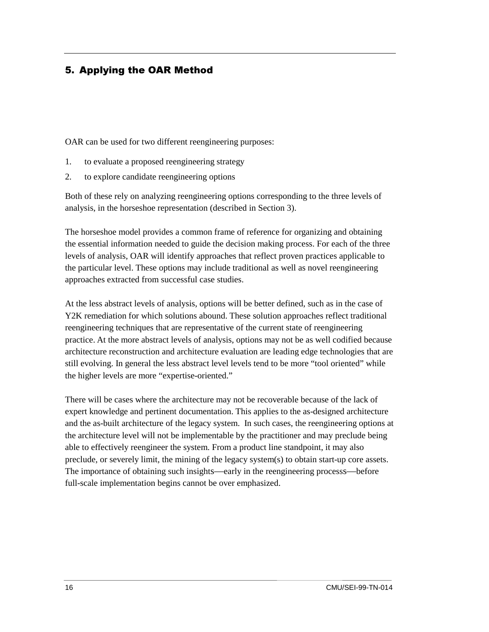#### <span id="page-23-0"></span>5. Applying the OAR Method

OAR can be used for two different reengineering purposes:

- 1. to evaluate a proposed reengineering strategy
- 2. to explore candidate reengineering options

Both of these rely on analyzing reengineering options corresponding to the three levels of analysis, in the horseshoe representation (described in Section 3).

The horseshoe model provides a common frame of reference for organizing and obtaining the essential information needed to guide the decision making process. For each of the three levels of analysis, OAR will identify approaches that reflect proven practices applicable to the particular level. These options may include traditional as well as novel reengineering approaches extracted from successful case studies.

At the less abstract levels of analysis, options will be better defined, such as in the case of Y2K remediation for which solutions abound. These solution approaches reflect traditional reengineering techniques that are representative of the current state of reengineering practice. At the more abstract levels of analysis, options may not be as well codified because architecture reconstruction and architecture evaluation are leading edge technologies that are still evolving. In general the less abstract level levels tend to be more "tool oriented" while the higher levels are more "expertise-oriented."

There will be cases where the architecture may not be recoverable because of the lack of expert knowledge and pertinent documentation. This applies to the as-designed architecture and the as-built architecture of the legacy system. In such cases, the reengineering options at the architecture level will not be implementable by the practitioner and may preclude being able to effectively reengineer the system. From a product line standpoint, it may also preclude, or severely limit, the mining of the legacy system(s) to obtain start-up core assets. The importance of obtaining such insights—early in the reengineering processs—before full-scale implementation begins cannot be over emphasized.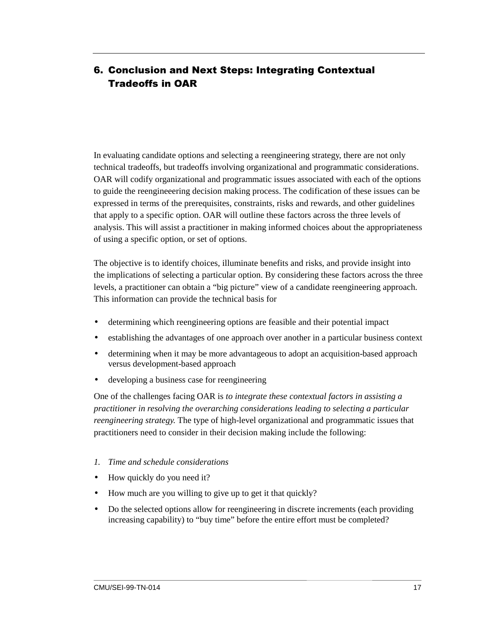## <span id="page-24-0"></span>6. Conclusion and Next Steps: Integrating Contextual **Tradeoffs in OAR**

In evaluating candidate options and selecting a reengineering strategy, there are not only technical tradeoffs, but tradeoffs involving organizational and programmatic considerations. OAR will codify organizational and programmatic issues associated with each of the options to guide the reengineeering decision making process. The codification of these issues can be expressed in terms of the prerequisites, constraints, risks and rewards, and other guidelines that apply to a specific option. OAR will outline these factors across the three levels of analysis. This will assist a practitioner in making informed choices about the appropriateness of using a specific option, or set of options.

The objective is to identify choices, illuminate benefits and risks, and provide insight into the implications of selecting a particular option. By considering these factors across the three levels, a practitioner can obtain a "big picture" view of a candidate reengineering approach. This information can provide the technical basis for

- determining which reengineering options are feasible and their potential impact
- establishing the advantages of one approach over another in a particular business context
- determining when it may be more advantageous to adopt an acquisition-based approach versus development-based approach
- developing a business case for reengineering

One of the challenges facing OAR is *to integrate these contextual factors in assisting a practitioner in resolving the overarching considerations leading to selecting a particular reengineering strategy.* The type of high-level organizational and programmatic issues that practitioners need to consider in their decision making include the following:

- *1. Time and schedule considerations*
- How quickly do you need it?
- How much are you willing to give up to get it that quickly?
- Do the selected options allow for reengineering in discrete increments (each providing increasing capability) to "buy time" before the entire effort must be completed?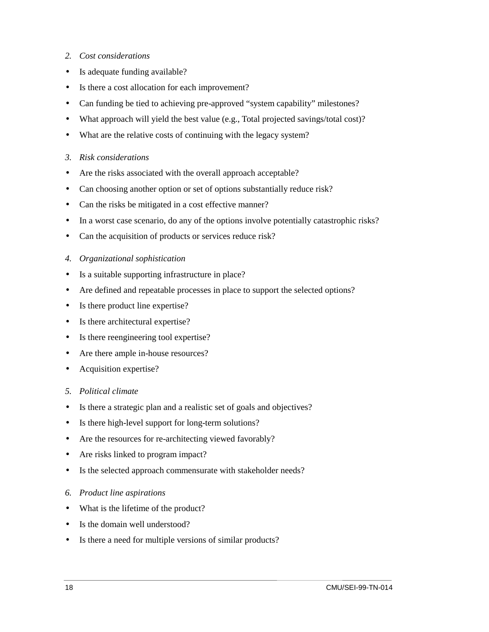- *2. Cost considerations*
- Is adequate funding available?
- Is there a cost allocation for each improvement?
- Can funding be tied to achieving pre-approved "system capability" milestones?
- What approach will yield the best value (e.g., Total projected savings/total cost)?
- What are the relative costs of continuing with the legacy system?
- *3. Risk considerations*
- Are the risks associated with the overall approach acceptable?
- Can choosing another option or set of options substantially reduce risk?
- Can the risks be mitigated in a cost effective manner?
- In a worst case scenario, do any of the options involve potentially catastrophic risks?
- Can the acquisition of products or services reduce risk?
- *4. Organizational sophistication*
- Is a suitable supporting infrastructure in place?
- Are defined and repeatable processes in place to support the selected options?
- Is there product line expertise?
- Is there architectural expertise?
- Is there reengineering tool expertise?
- Are there ample in-house resources?
- Acquisition expertise?
- *5. Political climate*
- Is there a strategic plan and a realistic set of goals and objectives?
- Is there high-level support for long-term solutions?
- Are the resources for re-architecting viewed favorably?
- Are risks linked to program impact?
- Is the selected approach commensurate with stakeholder needs?
- *6. Product line aspirations*
- What is the lifetime of the product?
- Is the domain well understood?
- Is there a need for multiple versions of similar products?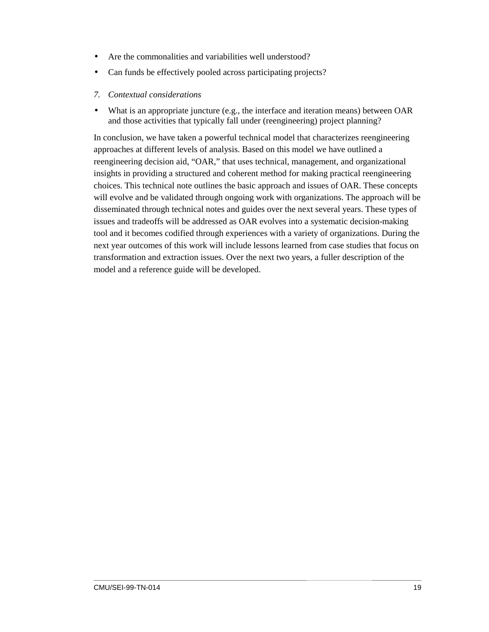- Are the commonalities and variabilities well understood?
- Can funds be effectively pooled across participating projects?
- *7. Contextual considerations*
- What is an appropriate juncture (e.g., the interface and iteration means) between OAR and those activities that typically fall under (reengineering) project planning?

In conclusion, we have taken a powerful technical model that characterizes reengineering approaches at different levels of analysis. Based on this model we have outlined a reengineering decision aid, "OAR," that uses technical, management, and organizational insights in providing a structured and coherent method for making practical reengineering choices. This technical note outlines the basic approach and issues of OAR. These concepts will evolve and be validated through ongoing work with organizations. The approach will be disseminated through technical notes and guides over the next several years. These types of issues and tradeoffs will be addressed as OAR evolves into a systematic decision-making tool and it becomes codified through experiences with a variety of organizations. During the next year outcomes of this work will include lessons learned from case studies that focus on transformation and extraction issues. Over the next two years, a fuller description of the model and a reference guide will be developed.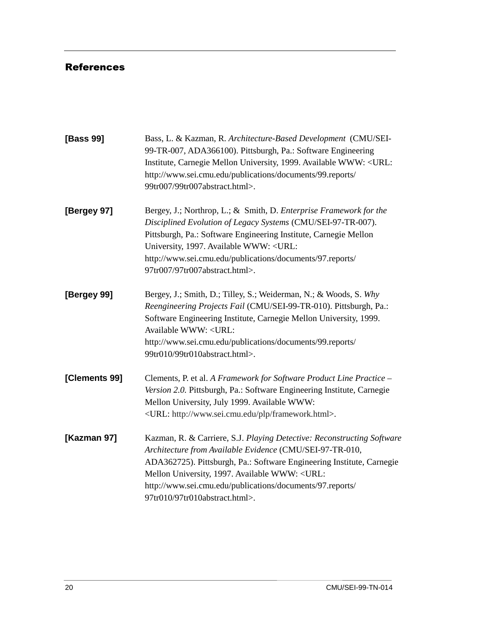## <span id="page-27-0"></span>References

| [Bass 99]     | Bass, L. & Kazman, R. Architecture-Based Development (CMU/SEI-<br>99-TR-007, ADA366100). Pittsburgh, Pa.: Software Engineering<br>Institute, Carnegie Mellon University, 1999. Available WWW: <url:<br>http://www.sei.cmu.edu/publications/documents/99.reports/<br/>99tr007/99tr007abstract.html&gt;.</url:<br>                                                          |  |  |  |  |
|---------------|---------------------------------------------------------------------------------------------------------------------------------------------------------------------------------------------------------------------------------------------------------------------------------------------------------------------------------------------------------------------------|--|--|--|--|
| [Bergey 97]   | Bergey, J.; Northrop, L.; & Smith, D. Enterprise Framework for the<br>Disciplined Evolution of Legacy Systems (CMU/SEI-97-TR-007).<br>Pittsburgh, Pa.: Software Engineering Institute, Carnegie Mellon<br>University, 1997. Available WWW: <url:<br>http://www.sei.cmu.edu/publications/documents/97.reports/<br/>97tr007/97tr007abstract.html&gt;.</url:<br>             |  |  |  |  |
| [Bergey 99]   | Bergey, J.; Smith, D.; Tilley, S.; Weiderman, N.; & Woods, S. Why<br>Reengineering Projects Fail (CMU/SEI-99-TR-010). Pittsburgh, Pa.:<br>Software Engineering Institute, Carnegie Mellon University, 1999.<br>Available WWW: <url:<br>http://www.sei.cmu.edu/publications/documents/99.reports/<br/>99tr010/99tr010abstract.html&gt;.</url:<br>                          |  |  |  |  |
| [Clements 99] | Clements, P. et al. A Framework for Software Product Line Practice -<br>Version 2.0. Pittsburgh, Pa.: Software Engineering Institute, Carnegie<br>Mellon University, July 1999. Available WWW:<br><url: framework.html="" http:="" plp="" www.sei.cmu.edu="">.</url:>                                                                                                     |  |  |  |  |
| [Kazman 97]   | Kazman, R. & Carriere, S.J. Playing Detective: Reconstructing Software<br>Architecture from Available Evidence (CMU/SEI-97-TR-010,<br>ADA362725). Pittsburgh, Pa.: Software Engineering Institute, Carnegie<br>Mellon University, 1997. Available WWW: <url:<br>http://www.sei.cmu.edu/publications/documents/97.reports/<br/>97tr010/97tr010abstract.html&gt;.</url:<br> |  |  |  |  |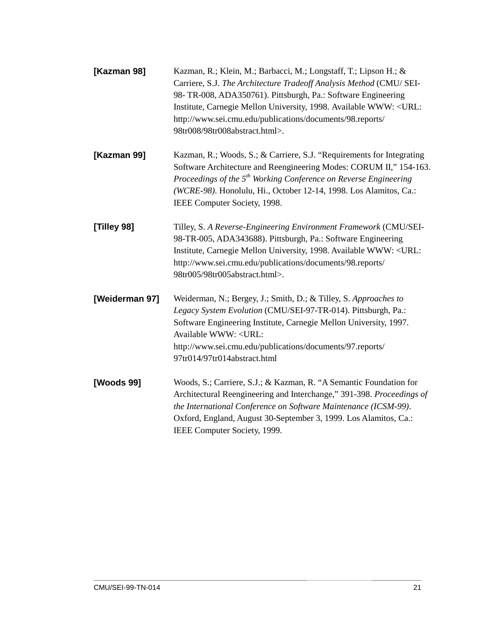| [Kazman 98]    | Kazman, R.; Klein, M.; Barbacci, M.; Longstaff, T.; Lipson H.; &<br>Carriere, S.J. The Architecture Tradeoff Analysis Method (CMU/ SEI-<br>98-TR-008, ADA350761). Pittsburgh, Pa.: Software Engineering<br>Institute, Carnegie Mellon University, 1998. Available WWW: <url:<br>http://www.sei.cmu.edu/publications/documents/98.reports/<br/>98tr008/98tr008abstract.html&gt;.</url:<br> |  |  |  |  |
|----------------|-------------------------------------------------------------------------------------------------------------------------------------------------------------------------------------------------------------------------------------------------------------------------------------------------------------------------------------------------------------------------------------------|--|--|--|--|
| [Kazman 99]    | Kazman, R.; Woods, S.; & Carriere, S.J. "Requirements for Integrating<br>Software Architecture and Reengineering Modes: CORUM II," 154-163.<br>Proceedings of the 5 <sup>th</sup> Working Conference on Reverse Engineering<br>(WCRE-98). Honolulu, Hi., October 12-14, 1998. Los Alamitos, Ca.:<br>IEEE Computer Society, 1998.                                                          |  |  |  |  |
| [Tilley 98]    | Tilley, S. A Reverse-Engineering Environment Framework (CMU/SEI-<br>98-TR-005, ADA343688). Pittsburgh, Pa.: Software Engineering<br>Institute, Carnegie Mellon University, 1998. Available WWW: <url:<br>http://www.sei.cmu.edu/publications/documents/98.reports/<br/>98tr005/98tr005abstract.html&gt;.</url:<br>                                                                        |  |  |  |  |
| [Weiderman 97] | Weiderman, N.; Bergey, J.; Smith, D.; & Tilley, S. Approaches to<br>Legacy System Evolution (CMU/SEI-97-TR-014). Pittsburgh, Pa.:<br>Software Engineering Institute, Carnegie Mellon University, 1997.<br>Available WWW: <url:<br>http://www.sei.cmu.edu/publications/documents/97.reports/<br/>97tr014/97tr014abstract.html</url:<br>                                                    |  |  |  |  |
| [Woods 99]     | Woods, S.; Carriere, S.J.; & Kazman, R. "A Semantic Foundation for<br>Architectural Reengineering and Interchange," 391-398. Proceedings of<br>the International Conference on Software Maintenance (ICSM-99).<br>Oxford, England, August 30-September 3, 1999. Los Alamitos, Ca.:<br>IEEE Computer Society, 1999.                                                                        |  |  |  |  |